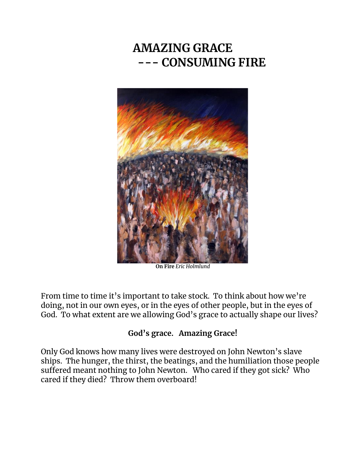# **AMAZING GRACE --- CONSUMING FIRE**



**On Fire** *Eric Holmlund*

From time to time it's important to take stock. To think about how we're doing, not in our own eyes, or in the eyes of other people, but in the eyes of God. To what extent are we allowing God's grace to actually shape our lives?

## **God's grace. Amazing Grace!**

Only God knows how many lives were destroyed on John Newton's slave ships. The hunger, the thirst, the beatings, and the humiliation those people suffered meant nothing to John Newton. Who cared if they got sick? Who cared if they died? Throw them overboard!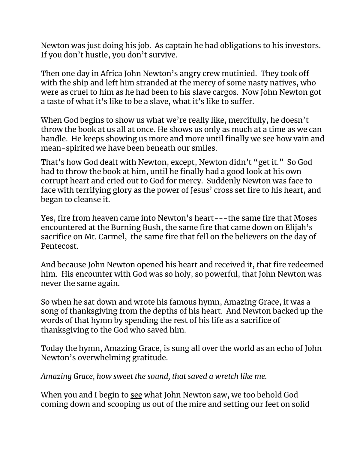Newton was just doing his job. As captain he had obligations to his investors. If you don't hustle, you don't survive.

Then one day in Africa John Newton's angry crew mutinied. They took off with the ship and left him stranded at the mercy of some nasty natives, who were as cruel to him as he had been to his slave cargos. Now John Newton got a taste of what it's like to be a slave, what it's like to suffer.

When God begins to show us what we're really like, mercifully, he doesn't throw the book at us all at once. He shows us only as much at a time as we can handle. He keeps showing us more and more until finally we see how vain and mean-spirited we have been beneath our smiles.

That's how God dealt with Newton, except, Newton didn't "get it." So God had to throw the book at him, until he finally had a good look at his own corrupt heart and cried out to God for mercy. Suddenly Newton was face to face with terrifying glory as the power of Jesus' cross set fire to his heart, and began to cleanse it.

Yes, fire from heaven came into Newton's heart---the same fire that Moses encountered at the Burning Bush, the same fire that came down on Elijah's sacrifice on Mt. Carmel, the same fire that fell on the believers on the day of Pentecost.

And because John Newton opened his heart and received it, that fire redeemed him. His encounter with God was so holy, so powerful, that John Newton was never the same again.

So when he sat down and wrote his famous hymn, Amazing Grace, it was a song of thanksgiving from the depths of his heart. And Newton backed up the words of that hymn by spending the rest of his life as a sacrifice of thanksgiving to the God who saved him.

Today the hymn, Amazing Grace, is sung all over the world as an echo of John Newton's overwhelming gratitude.

*Amazing Grace, how sweet the sound, that saved a wretch like me.*

When you and I begin to see what John Newton saw, we too behold God coming down and scooping us out of the mire and setting our feet on solid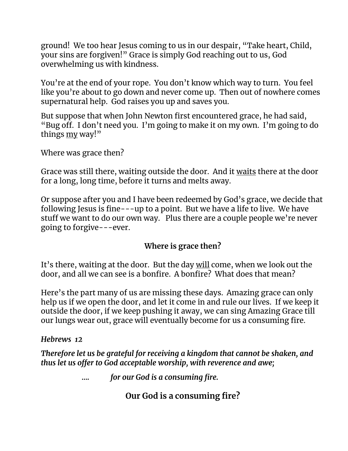ground! We too hear Jesus coming to us in our despair, "Take heart, Child, your sins are forgiven!" Grace is simply God reaching out to us, God overwhelming us with kindness.

You're at the end of your rope. You don't know which way to turn. You feel like you're about to go down and never come up. Then out of nowhere comes supernatural help. God raises you up and saves you.

But suppose that when John Newton first encountered grace, he had said, "Bug off. I don't need you. I'm going to make it on my own. I'm going to do things my way!"

Where was grace then?

Grace was still there, waiting outside the door. And it waits there at the door for a long, long time, before it turns and melts away.

Or suppose after you and I have been redeemed by God's grace, we decide that following Jesus is fine---up to a point. But we have a life to live. We have stuff we want to do our own way. Plus there are a couple people we're never going to forgive---ever.

### **Where is grace then?**

It's there, waiting at the door. But the day will come, when we look out the door, and all we can see is a bonfire. A bonfire? What does that mean?

Here's the part many of us are missing these days. Amazing grace can only help us if we open the door, and let it come in and rule our lives. If we keep it outside the door, if we keep pushing it away, we can sing Amazing Grace till our lungs wear out, grace will eventually become for us a consuming fire.

### *Hebrews**12*

*Therefore let us be grateful for receiving a kingdom that cannot be shaken, and thus let us offer to God acceptable worship, with reverence and awe;*

*…. for our God is a consuming fire.*

**Our God is a consuming fire?**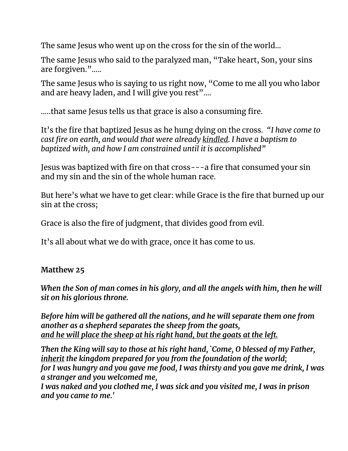The same Jesus who went up on the cross for the sin of the world…

The same Jesus who said to the paralyzed man, "Take heart, Son, your sins are forgiven."…..

The same Jesus who is saying to us right now, "Come to me all you who labor and are heavy laden, and I will give you rest"....

…..that same Jesus tells us that grace is also a consuming fire.

It's the fire that baptized Jesus as he hung dying on the cross*. "I have come to cast fire on earth, and would that were already kindled. I have a baptism to baptized with, and how I am constrained until it is accomplished"*

Jesus was baptized with fire on that cross---a fire that consumed your sin and my sin and the sin of the whole human race.

But here's what we have to get clear: while Grace is the fire that burned up our sin at the cross;

Grace is also the fire of judgment, that divides good from evil.

It's all about what we do with grace, once it has come to us.

## **Matthew 25**

*When the Son of man comes in his glory, and all the angels with him, then he will sit on his glorious throne.*

*Before him will be gathered all the nations, and he will separate them one from another as a shepherd separates the sheep from the goats, and he will place the sheep at his right hand, but the goats at the left.*

*Then the King will say to those at his right hand, `Come, O blessed of my Father, inherit the kingdom prepared for you from the foundation of the world; for I was hungry and you gave me food, I was thirsty and you gave me drink, I was a stranger and you welcomed me,*

*I was naked and you clothed me, I was sick and you visited me, I was in prison and you came to me.'*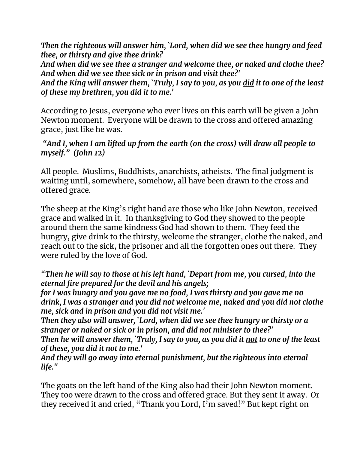*Then the righteous will answer him, `Lord, when did we see thee hungry and feed thee, or thirsty and give thee drink?*

*And when did we see thee a stranger and welcome thee, or naked and clothe thee? And when did we see thee sick or in prison and visit thee?'*

*And the King will answer them, `Truly, I say to you, as you did it to one of the least of these my brethren, you did it to me.'*

According to Jesus, everyone who ever lives on this earth will be given a John Newton moment. Everyone will be drawn to the cross and offered amazing grace, just like he was.

*"And I, when I am lifted up from the earth (on the cross) will draw all people to myself." (John 12)*

All people. Muslims, Buddhists, anarchists, atheists. The final judgment is waiting until, somewhere, somehow, all have been drawn to the cross and offered grace.

The sheep at the King's right hand are those who like John Newton, received grace and walked in it. In thanksgiving to God they showed to the people around them the same kindness God had shown to them. They feed the hungry, give drink to the thirsty, welcome the stranger, clothe the naked, and reach out to the sick, the prisoner and all the forgotten ones out there. They were ruled by the love of God.

*"Then he will say to those at his left hand, `Depart from me, you cursed, into the eternal fire prepared for the devil and his angels;*

*for I was hungry and you gave me no food, I was thirsty and you gave me no drink, I was a stranger and you did not welcome me, naked and you did not clothe me, sick and in prison and you did not visit me.'*

*Then they also will answer, `Lord, when did we see thee hungry or thirsty or a stranger or naked or sick or in prison, and did not minister to thee?'*

*Then he will answer them, `Truly, I say to you, as you did it not to one of the least of these, you did it not to me.'*

*And they will go away into eternal punishment, but the righteous into eternal life."*

The goats on the left hand of the King also had their John Newton moment. They too were drawn to the cross and offered grace. But they sent it away. Or they received it and cried, "Thank you Lord, I'm saved!" But kept right on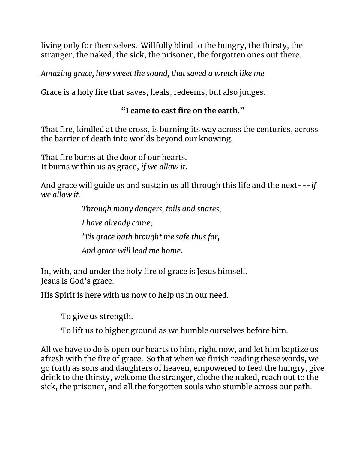living only for themselves. Willfully blind to the hungry, the thirsty, the stranger, the naked, the sick, the prisoner, the forgotten ones out there.

*Amazing grace, how sweet the sound, that saved a wretch like me.*

Grace is a holy fire that saves, heals, redeems, but also judges.

## **"I came to cast fire on the earth."**

That fire, kindled at the cross, is burning its way across the centuries, across the barrier of death into worlds beyond our knowing.

That fire burns at the door of our hearts. It burns within us as grace, *if we allow it*.

And grace will guide us and sustain us all through this life and the next---*if we allow it.* 

> *Through many dangers, toils and snares, I have already come; 'Tis grace hath brought me safe thus far, And grace will lead me home.*

In, with, and under the holy fire of grace is Jesus himself. Jesus is God's grace.

His Spirit is here with us now to help us in our need.

To give us strength.

To lift us to higher ground as we humble ourselves before him.

All we have to do is open our hearts to him, right now, and let him baptize us afresh with the fire of grace. So that when we finish reading these words, we go forth as sons and daughters of heaven, empowered to feed the hungry, give drink to the thirsty, welcome the stranger, clothe the naked, reach out to the sick, the prisoner, and all the forgotten souls who stumble across our path.